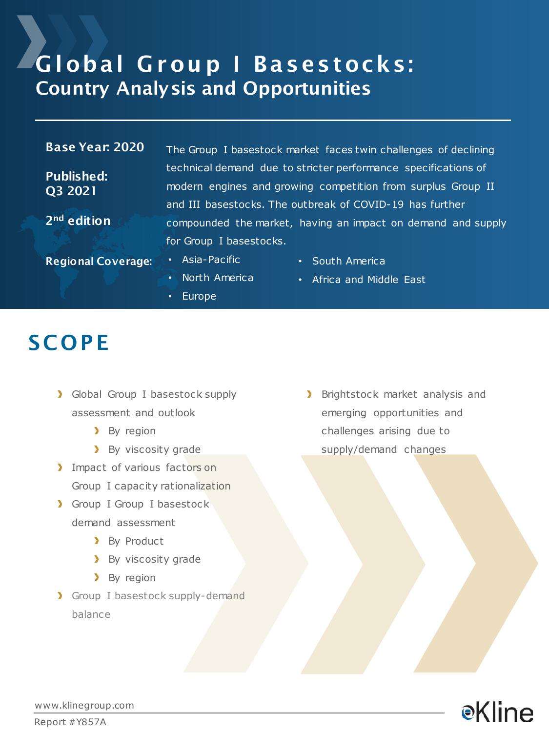### Global Group | Basestocks: Country Analysis and Opportunities

#### Base Year: 2020

Published: Q3 2021

2<sup>nd</sup> edition

The Group I basestock market faces twin challenges of declining technical demand due to stricter performance specifications of modern engines and growing competition from surplus Group II and III basestocks. The outbreak of COVID-19 has further compounded the market, having an impact on demand and supply for Group I basestocks.

Regional Coverage: • Asia-Pacific

- 
- South America
- North America
- Europe

• Africa and Middle East

### **SCOPE**

- **>** Global Group I basestock supply assessment and outlook
	- > By region
	- **By viscosity grade**
- Impact of various factors on Group I capacity rationalization
- Group I Group I basestock demand assessment
	- > By Product
	- **By viscosity grade**
	- **By** region
- **>** Group I basestock supply-demand balance

> Brightstock market analysis and emerging opportunities and challenges arising due to supply/demand changes



www.klinegroup.com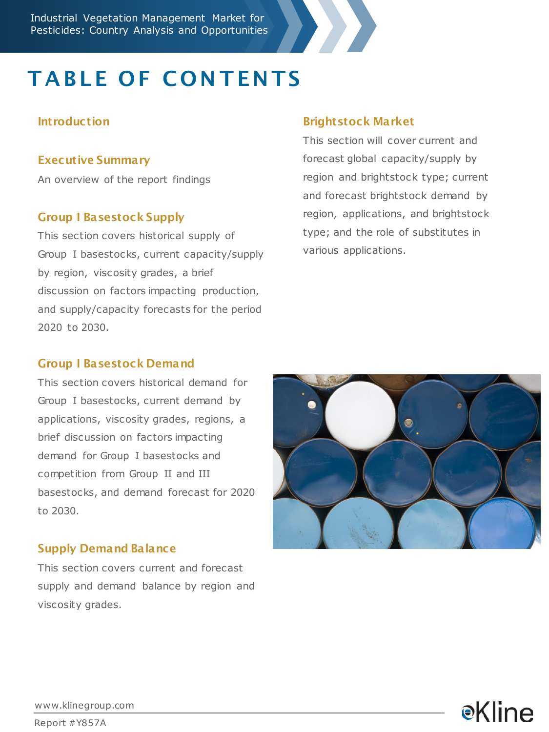

# **TABLE OF CONTENTS**

#### **Introduction**

#### Executive Summary

An overview of the report findings

#### Group I Basestock Supply

This section covers historical supply of Group I basestocks, current capacity/supply by region, viscosity grades, a brief discussion on factors impacting production, and supply/capacity forecasts for the period 2020 to 2030.

#### Brightstock Market

This section will cover current and forecast global capacity/supply by region and brightstock type; current and forecast brightstock demand by region, applications, and brightstock type; and the role of substitutes in various applications.

#### Group I Basestock Demand

This section covers historical demand for Group I basestocks, current demand by applications, viscosity grades, regions, a brief discussion on factors impacting demand for Group I basestocks and competition from Group II and III basestocks, and demand forecast for 2020 to 2030.

#### Supply Demand Balance

This section covers current and forecast supply and demand balance by region and viscosity grades.